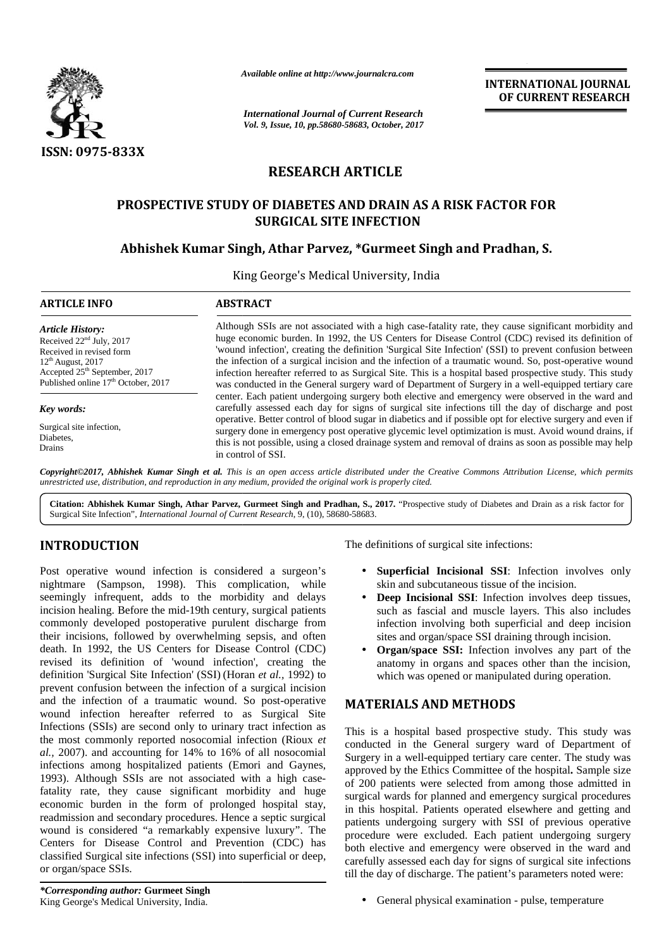

*Available online at http://www.journalcra.com*

**INTERNATIONAL JOURNAL OF CURRENT RESEARCH**

# **RESEARCH ARTICLE**

## **PROSPECTIVE STUDY OF DIABETES AND DRAIN AS A RISK FACTOR FOR PROSPECTIVE STUDY OF DIABETES SURGICAL SITE INFECTION**

## **Abhishek Kumar Singh, Athar Parvez, \*Gurmeet Singh and Pradhan, S.**

|                                                                                                                                                                                                                                                                                                                                                                                                                                                                                                                                                                                                                                                                   |                                                                                                                                                                                                                                                                                                                                                                                                                                                                                                                                                                                                                                                   | <b>INTERNATIONAL JOURNAL</b><br>OF CURRENT RESEARCH                                                                                                                                                                                                                                                                                                                                                                                                                                                                                                                                                                                                                                                                                                                                                                   |  |  |  |  |  |  |  |
|-------------------------------------------------------------------------------------------------------------------------------------------------------------------------------------------------------------------------------------------------------------------------------------------------------------------------------------------------------------------------------------------------------------------------------------------------------------------------------------------------------------------------------------------------------------------------------------------------------------------------------------------------------------------|---------------------------------------------------------------------------------------------------------------------------------------------------------------------------------------------------------------------------------------------------------------------------------------------------------------------------------------------------------------------------------------------------------------------------------------------------------------------------------------------------------------------------------------------------------------------------------------------------------------------------------------------------|-----------------------------------------------------------------------------------------------------------------------------------------------------------------------------------------------------------------------------------------------------------------------------------------------------------------------------------------------------------------------------------------------------------------------------------------------------------------------------------------------------------------------------------------------------------------------------------------------------------------------------------------------------------------------------------------------------------------------------------------------------------------------------------------------------------------------|--|--|--|--|--|--|--|
|                                                                                                                                                                                                                                                                                                                                                                                                                                                                                                                                                                                                                                                                   | <b>International Journal of Current Research</b><br>Vol. 9, Issue, 10, pp.58680-58683, October, 2017                                                                                                                                                                                                                                                                                                                                                                                                                                                                                                                                              |                                                                                                                                                                                                                                                                                                                                                                                                                                                                                                                                                                                                                                                                                                                                                                                                                       |  |  |  |  |  |  |  |
|                                                                                                                                                                                                                                                                                                                                                                                                                                                                                                                                                                                                                                                                   |                                                                                                                                                                                                                                                                                                                                                                                                                                                                                                                                                                                                                                                   |                                                                                                                                                                                                                                                                                                                                                                                                                                                                                                                                                                                                                                                                                                                                                                                                                       |  |  |  |  |  |  |  |
| <b>ISSN: 0975-833X</b>                                                                                                                                                                                                                                                                                                                                                                                                                                                                                                                                                                                                                                            | <b>RESEARCH ARTICLE</b>                                                                                                                                                                                                                                                                                                                                                                                                                                                                                                                                                                                                                           |                                                                                                                                                                                                                                                                                                                                                                                                                                                                                                                                                                                                                                                                                                                                                                                                                       |  |  |  |  |  |  |  |
|                                                                                                                                                                                                                                                                                                                                                                                                                                                                                                                                                                                                                                                                   |                                                                                                                                                                                                                                                                                                                                                                                                                                                                                                                                                                                                                                                   |                                                                                                                                                                                                                                                                                                                                                                                                                                                                                                                                                                                                                                                                                                                                                                                                                       |  |  |  |  |  |  |  |
|                                                                                                                                                                                                                                                                                                                                                                                                                                                                                                                                                                                                                                                                   | PROSPECTIVE STUDY OF DIABETES AND DRAIN AS A RISK FACTOR FOR<br><b>SURGICAL SITE INFECTION</b>                                                                                                                                                                                                                                                                                                                                                                                                                                                                                                                                                    |                                                                                                                                                                                                                                                                                                                                                                                                                                                                                                                                                                                                                                                                                                                                                                                                                       |  |  |  |  |  |  |  |
| Abhishek Kumar Singh, Athar Parvez, *Gurmeet Singh and Pradhan, S.                                                                                                                                                                                                                                                                                                                                                                                                                                                                                                                                                                                                |                                                                                                                                                                                                                                                                                                                                                                                                                                                                                                                                                                                                                                                   |                                                                                                                                                                                                                                                                                                                                                                                                                                                                                                                                                                                                                                                                                                                                                                                                                       |  |  |  |  |  |  |  |
|                                                                                                                                                                                                                                                                                                                                                                                                                                                                                                                                                                                                                                                                   | King George's Medical University, India                                                                                                                                                                                                                                                                                                                                                                                                                                                                                                                                                                                                           |                                                                                                                                                                                                                                                                                                                                                                                                                                                                                                                                                                                                                                                                                                                                                                                                                       |  |  |  |  |  |  |  |
| <b>ARTICLE INFO</b>                                                                                                                                                                                                                                                                                                                                                                                                                                                                                                                                                                                                                                               | <b>ABSTRACT</b>                                                                                                                                                                                                                                                                                                                                                                                                                                                                                                                                                                                                                                   |                                                                                                                                                                                                                                                                                                                                                                                                                                                                                                                                                                                                                                                                                                                                                                                                                       |  |  |  |  |  |  |  |
| <b>Article History:</b><br>Received 22 <sup>nd</sup> July, 2017<br>Received in revised form<br>$12th$ August, 2017<br>Accepted 25 <sup>th</sup> September, 2017<br>Published online 17 <sup>th</sup> October, 2017                                                                                                                                                                                                                                                                                                                                                                                                                                                | Although SSIs are not associated with a high case-fatality rate, they cause significant morbidity and<br>huge economic burden. In 1992, the US Centers for Disease Control (CDC) revised its definition of<br>'wound infection', creating the definition 'Surgical Site Infection' (SSI) to prevent confusion between<br>the infection of a surgical incision and the infection of a traumatic wound. So, post-operative wound<br>infection hereafter referred to as Surgical Site. This is a hospital based prospective study. This study<br>was conducted in the General surgery ward of Department of Surgery in a well-equipped tertiary care |                                                                                                                                                                                                                                                                                                                                                                                                                                                                                                                                                                                                                                                                                                                                                                                                                       |  |  |  |  |  |  |  |
| Key words:<br>Surgical site infection,<br>Diabetes,<br>Drains                                                                                                                                                                                                                                                                                                                                                                                                                                                                                                                                                                                                     | center. Each patient undergoing surgery both elective and emergency were observed in the ward and<br>carefully assessed each day for signs of surgical site infections till the day of discharge and post<br>operative. Better control of blood sugar in diabetics and if possible opt for elective surgery and even if<br>surgery done in emergency post operative glycemic level optimization is must. Avoid wound drains, if<br>this is not possible, using a closed drainage system and removal of drains as soon as possible may help<br>in control of SSI.                                                                                  |                                                                                                                                                                                                                                                                                                                                                                                                                                                                                                                                                                                                                                                                                                                                                                                                                       |  |  |  |  |  |  |  |
|                                                                                                                                                                                                                                                                                                                                                                                                                                                                                                                                                                                                                                                                   | unrestricted use, distribution, and reproduction in any medium, provided the original work is properly cited.<br>Surgical Site Infection", International Journal of Current Research, 9, (10), 58680-58683.                                                                                                                                                                                                                                                                                                                                                                                                                                       | Copyright©2017, Abhishek Kumar Singh et al. This is an open access article distributed under the Creative Commons Attribution License, which permits<br>Citation: Abhishek Kumar Singh, Athar Parvez, Gurmeet Singh and Pradhan, S., 2017. "Prospective study of Diabetes and Drain as a risk factor for                                                                                                                                                                                                                                                                                                                                                                                                                                                                                                              |  |  |  |  |  |  |  |
| <b>INTRODUCTION</b>                                                                                                                                                                                                                                                                                                                                                                                                                                                                                                                                                                                                                                               |                                                                                                                                                                                                                                                                                                                                                                                                                                                                                                                                                                                                                                                   | The definitions of surgical site infections:                                                                                                                                                                                                                                                                                                                                                                                                                                                                                                                                                                                                                                                                                                                                                                          |  |  |  |  |  |  |  |
| Post operative wound infection is considered a surgeon's<br>nightmare (Sampson, 1998). This complication, while<br>seemingly infrequent, adds to the morbidity and delays<br>incision healing. Before the mid-19th century, surgical patients<br>commonly developed postoperative purulent discharge from<br>death. In 1992, the US Centers for Disease Control (CDC)<br>revised its definition of 'wound infection', creating the<br>definition 'Surgical Site Infection' (SSI) (Horan et al., 1992) to<br>prevent confusion between the infection of a surgical incision<br>and the infection of a traumatic wound. So post-operative                           | their incisions, followed by overwhelming sepsis, and often                                                                                                                                                                                                                                                                                                                                                                                                                                                                                                                                                                                       | • Superficial Incisional SSI: Infection involves only<br>skin and subcutaneous tissue of the incision.<br>Deep Incisional SSI: Infection involves deep tissues,<br>such as fascial and muscle layers. This also includes<br>infection involving both superficial and deep incision<br>sites and organ/space SSI draining through incision.<br>Organ/space SSI: Infection involves any part of the<br>$\bullet$<br>anatomy in organs and spaces other than the incision,<br>which was opened or manipulated during operation.                                                                                                                                                                                                                                                                                          |  |  |  |  |  |  |  |
| wound infection hereafter referred to as Surgical Site<br>Infections (SSIs) are second only to urinary tract infection as<br>al., 2007). and accounting for 14% to 16% of all nosocomial<br>infections among hospitalized patients (Emori and Gaynes,<br>1993). Although SSIs are not associated with a high case-<br>fatality rate, they cause significant morbidity and huge<br>economic burden in the form of prolonged hospital stay,<br>readmission and secondary procedures. Hence a septic surgical<br>Centers for Disease Control and Prevention (CDC) has<br>classified Surgical site infections (SSI) into superficial or deep,<br>or organ/space SSIs. | the most commonly reported nosocomial infection (Rioux et<br>wound is considered "a remarkably expensive luxury". The                                                                                                                                                                                                                                                                                                                                                                                                                                                                                                                             | <b>MATERIALS AND METHODS</b><br>This is a hospital based prospective study. This study was<br>conducted in the General surgery ward of Department of<br>Surgery in a well-equipped tertiary care center. The study was<br>approved by the Ethics Committee of the hospital. Sample size<br>of 200 patients were selected from among those admitted in<br>surgical wards for planned and emergency surgical procedures<br>in this hospital. Patients operated elsewhere and getting and<br>patients undergoing surgery with SSI of previous operative<br>procedure were excluded. Each patient undergoing surgery<br>both elective and emergency were observed in the ward and<br>carefully assessed each day for signs of surgical site infections<br>till the day of discharge. The patient's parameters noted were: |  |  |  |  |  |  |  |

# **INTRODUCTION INTRODUCTION**

Post operative wound infection is considered a surgeon's Post operative nightmare (Sampson, 1998). This complication, while nightmare (Sampson, 1998). This complication, while<br>seemingly infrequent, adds to the morbidity and delays incision healing. Before the mid-19th century, surgical patients commonly developed postoperative purulent discharge from their incisions, followed by overwhelming sepsis, and often death. In 1992, the US Centers for Disease Control (CDC) revised its definition of 'wound infection', creating the definition 'Surgical Site Infection' (SSI) (Horan *et al.,* 1992) to prevent confusion between the infection of a surgical incision and the infection of a traumatic wound. So post-operative  $\mathbf{M} \varrho$ wound infection hereafter referred to as Surgical Site Infections (SSIs) are second only to urinary tract infection as  $_{\text{Th}}$ the most commonly reported nosocomial infection (Rioux  $et \bigcap_{\alpha \in \alpha}$ *al.,* 2007). and accounting for 14% to 16% of all nosocomial al., 2007). and accounting for 14% to 16% of all nosocomial infections among hospitalized patients (Emori and Gaynes, 1993). Although SSIs are not associated with a high casefatality rate, they cause significant morbidity and huge 1993). Although SSIs are not associated with a high case-<br>fatality rate, they cause significant morbidity and huge<br>economic burden in the form of prolonged hospital stay, readmission and secondary procedures. Hence a septic surgical  $\overline{\phantom{a}}$ wound is considered "a remarkably expensive luxury". The  $\frac{1}{2}$ Centers for Disease Control and Prevention (CDC) has  $\frac{P}{PQ}$ classified Surgical site infections (SSI) into superficial or deep,<br>or organ/space SSIs. or organ/space SSIs. incision healing. Before the mid-19th century, surgical pat<br>commonly developed postoperative purulent discharge<br>their incisions, followed by overwhelming sepsis, and death. In 1992, the US Centers for Disease Control (C<br>re prevent confusion between the infection of a surgical incision<br>and the infection of a traumatic wound. So post-operative<br>wound infection hereafter referred to as Surgical Site Fost operative wound infection is considered a suggeon's **Superficial Incision.** Superficial muscle incision incidents incident and delays<br>
incidential muscle layers. This complete multi-through surface sites draining Befo to the morbidity<br>d-19th century, surg<br>rative purulent diss<br>verwhelming sepsis<br>res for Disease Coround infection', c<br>on' (SSI) (Horan *et* infection of a surg<br>atic wound. So po<br>referred to as Su<br>nly to urinary tract e wound infection is considered a surgeon's<br>
Sampson, 1998). This complication, while and sut<br>
Infraguent, adds to the morbidity and delays<br>
Deep Incising. Before the mid-19th century, surgical patients<br>
Such as fass<br>
evel

- **Superficial Incisional SSI**: Infection involves only skin and subcutaneous tissue of the incision.
- **Deep Incisional SSI**: Infection involves deep tissues, such as fascial and muscle layers. This also includes infection involving both superficial and deep incision sites and organ/space SSI draining through incision.
- **Organ/space SSI:** Infection involves any part of the anatomy in organs and spaces other than the incision, which was opened or manipulated during operation.

### **MATERIALS AND METHODS**

General physical examination - pulse, temperature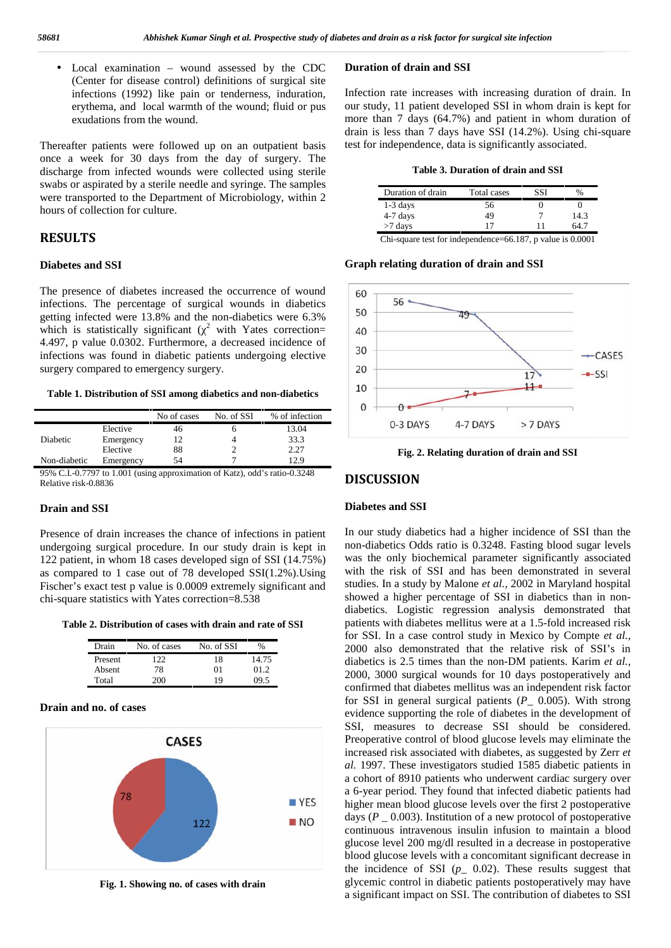Local examination – wound assessed by the CDC (Center for disease control) definitions of surgical site infections (1992) like pain or tenderness, induration, erythema, and local warmth of the wound; fluid or pus exudations from the wound.

Thereafter patients were followed up on an outpatient basis once a week for 30 days from the day of surgery. The discharge from infected wounds were collected using sterile swabs or aspirated by a sterile needle and syringe. The samples were transported to the Department of Microbiology, within 2 hours of collection for culture.

### **RESULTS**

#### **Diabetes and SSI**

The presence of diabetes increased the occurrence of wound 60 infections. The percentage of surgical wounds in diabetics  $\begin{bmatrix} 50 \\ 50 \end{bmatrix}$ getting infected were 13.8% and the non-diabetics were 6.3% which is statistically significant ( $\frac{2}{ }$  with Yates correction= | 40 4.497, p value 0.0302. Furthermore, a decreased incidence of infections was found in diabetic patients undergoing elective  $\begin{vmatrix} 30 \\ 20 \end{vmatrix}$ surgery compared to emergency surgery.

#### **Table 1. Distribution of SSI among diabetics and non-diabetics**

|              |           | No of cases | No. of SSI | % of infection |
|--------------|-----------|-------------|------------|----------------|
|              | Elective  |             |            | 13.04          |
| Diabetic     | Emergency |             |            | 33.3           |
|              | Elective  | 88          |            | 2.27           |
| Non-diabetic | Emergency | 54          |            | 12 Q           |

95% C.I.-0.7797 to 1.001 (using approximation of Katz), odd's ratio-0.3248 Relative risk-0.8836

#### **Drain and SSI**

Presence of drain increases the chance of infections in patient undergoing surgical procedure. In our study drain is kept in 122 patient, in whom 18 cases developed sign of SSI (14.75%) as compared to 1 case out of 78 developed SSI(1.2%).Using Fischer's exact test p value is 0.0009 extremely significant and chi-square statistics with Yates correction=8.538

**Table 2. Distribution of cases with drain and rate of SSI**

| Drain   | No. of cases | No. of SSI | $\%$  |
|---------|--------------|------------|-------|
| Present | 22           | 18         | 14.75 |
| Absent  | 78           | 01         | 01.2  |
| Total   | 200          | 19         | N9 5  |

### **Drain and no. of cases**



**Fig. 1. Showing no. of cases with drain**

#### **Duration of drain and SSI**

Infection rate increases with increasing duration of drain. In our study, 11 patient developed SSI in whom drain is kept for more than 7 days (64.7%) and patient in whom duration of drain is less than 7 days have SSI (14.2%). Using chi-square test for independence, data is significantly associated.

#### **Table 3. Duration of drain and SSI**

| Duration of drain | Total cases | %    |
|-------------------|-------------|------|
| $1-3$ days        | 56          |      |
| 4-7 days          | 49          | 14.3 |
| $>7$ days         | 17          | 54 C |
|                   |             |      |

Chi-square test for independence=66.187, p value is 0.0001

#### **Graph relating duration of drain and SSI**



**Fig. 2. Relating duration of drain and SSI**

#### **DISCUSSION**

#### **Diabetes and SSI**

In our study diabetics had a higher incidence of SSI than the non-diabetics Odds ratio is 0.3248. Fasting blood sugar levels was the only biochemical parameter significantly associated with the risk of SSI and has been demonstrated in several studies. In a study by Malone *et al.,* 2002 in Maryland hospital showed a higher percentage of SSI in diabetics than in non diabetics. Logistic regression analysis demonstrated that patients with diabetes mellitus were at a 1.5-fold increased risk for SSI. In a case control study in Mexico by Compte *et al.,* 2000 also demonstrated that the relative risk of SSI's in diabetics is 2.5 times than the non-DM patients. Karim *et al.,* 2000, 3000 surgical wounds for 10 days postoperatively and confirmed that diabetes mellitus was an independent risk factor for SSI in general surgical patients (*P\_* 0.005). With strong evidence supporting the role of diabetes in the development of SSI, measures to decrease SSI should be considered. Preoperative control of blood glucose levels may eliminate the increased risk associated with diabetes, as suggested by Zerr *et al.* 1997. These investigators studied 1585 diabetic patients in a cohort of 8910 patients who underwent cardiac surgery over a 6-year period. They found that infected diabetic patients had higher mean blood glucose levels over the first 2 postoperative days  $(P_0.003)$ . Institution of a new protocol of postoperative continuous intravenous insulin infusion to maintain a blood glucose level 200 mg/dl resulted in a decrease in postoperative blood glucose levels with a concomitant significant decrease in the incidence of SSI  $(p_ 0.02)$ . These results suggest that glycemic control in diabetic patients postoperatively may have a significant impact on SSI. The contribution of diabetes to SSI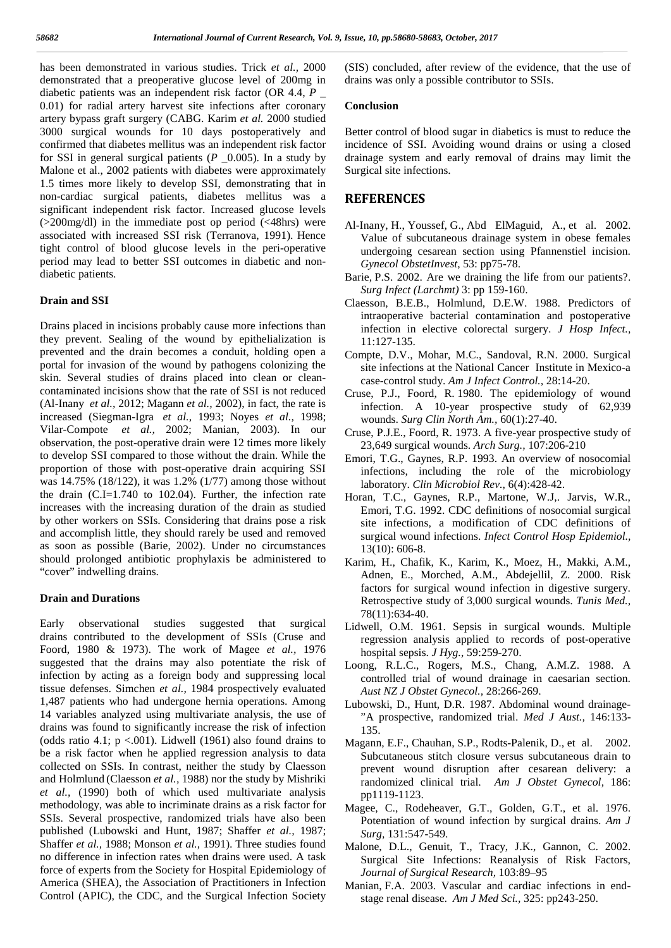has been demonstrated in various studies. Trick *et al.,* 2000 demonstrated that a preoperative glucose level of 200mg in diabetic patients was an independent risk factor (OR 4.4, *P* \_ 0.01) for radial artery harvest site infections after coronary artery bypass graft surgery (CABG. Karim *et al.* 2000 studied 3000 surgical wounds for 10 days postoperatively and confirmed that diabetes mellitus was an independent risk factor for SSI in general surgical patients ( $P = 0.005$ ). In a study by Malone et al., 2002 patients with diabetes were approximately 1.5 times more likely to develop SSI, demonstrating that in non-cardiac surgical patients, diabetes mellitus was a significant independent risk factor. Increased glucose levels (>200mg/dl) in the immediate post op period (<48hrs) were associated with increased SSI risk (Terranova, 1991). Hence tight control of blood glucose levels in the peri-operative period may lead to better SSI outcomes in diabetic and non diabetic patients.

#### **Drain and SSI**

Drains placed in incisions probably cause more infections than they prevent. Sealing of the wound by epithelialization is prevented and the drain becomes a conduit, holding open a portal for invasion of the wound by pathogens colonizing the skin. Several studies of drains placed into clean or clean contaminated incisions show that the rate of SSI is not reduced (Al-Inany *et al.,* 2012; Magann *et al.,* 2002), in fact, the rate is increased (Siegman-Igra *et al.,* 1993; Noyes *et al.,* 1998; Vilar-Compote *et al.,* 2002; Manian, 2003). In our observation, the post-operative drain were 12 times more likely to develop SSI compared to those without the drain. While the proportion of those with post-operative drain acquiring SSI was 14.75% (18/122), it was 1.2% (1/77) among those without the drain (C.I=1.740 to 102.04). Further, the infection rate increases with the increasing duration of the drain as studied by other workers on SSIs. Considering that drains pose a risk and accomplish little, they should rarely be used and removed as soon as possible (Barie, 2002). Under no circumstances should prolonged antibiotic prophylaxis be administered to "cover" indwelling drains.

#### **Drain and Durations**

Early observational studies suggested that surgical drains contributed to the development of SSIs (Cruse and Foord, 1980 & 1973). The work of Magee *et al.,* 1976 suggested that the drains may also potentiate the risk of infection by acting as a foreign body and suppressing local tissue defenses. Simchen *et al.,* 1984 prospectively evaluated 1,487 patients who had undergone hernia operations. Among 14 variables analyzed using multivariate analysis, the use of drains was found to significantly increase the risk of infection (odds ratio 4.1;  $p < .001$ ). Lidwell (1961) also found drains to be a risk factor when he applied regression analysis to data collected on SSIs. In contrast, neither the study by Claesson and Holmlund (Claesson *et al.,* 1988) nor the study by Mishriki *et al.,* (1990) both of which used multivariate analysis methodology, was able to incriminate drains as a risk factor for SSIs. Several prospective, randomized trials have also been published (Lubowski and Hunt, 1987; Shaffer *et al.,* 1987; Shaffer *et al.,* 1988; Monson *et al.,* 1991). Three studies found no difference in infection rates when drains were used. A task force of experts from the Society for Hospital Epidemiology of America (SHEA), the Association of Practitioners in Infection Control (APIC), the CDC, and the Surgical Infection Society

(SIS) concluded, after review of the evidence, that the use of drains was only a possible contributor to SSIs.

#### **Conclusion**

Better control of blood sugar in diabetics is must to reduce the incidence of SSI. Avoiding wound drains or using a closed drainage system and early removal of drains may limit the Surgical site infections.

#### **REFERENCES**

- Al-Inany, H., Youssef, G., Abd ElMaguid, A., et al. 2002. Value of subcutaneous drainage system in obese females undergoing cesarean section using Pfannenstiel incision. *Gynecol ObstetInvest*, 53: pp75-78.
- Barie, P.S. 2002. Are we draining the life from our patients?. *Surg Infect (Larchmt)* 3: pp 159-160.
- Claesson, B.E.B., Holmlund, D.E.W. 1988. Predictors of intraoperative bacterial contamination and postoperative infection in elective colorectal surgery. *J Hosp Infect.,* 11:127-135.
- Compte, D.V., Mohar, M.C., Sandoval, R.N. 2000. Surgical site infections at the National Cancer Institute in Mexico-a case-control study. *Am J Infect Control.,* 28:14-20.
- Cruse, P.J., Foord, R. 1980. The epidemiology of wound infection. A 10-year prospective study of 62,939 wounds. *Surg Clin North Am.,* 60(1):27-40.
- Cruse, P.J.E., Foord, R. 1973. A five-year prospective study of 23,649 surgical wounds. *Arch Surg.,* 107:206-210
- Emori, T.G., Gaynes, R.P. 1993. An overview of nosocomial infections, including the role of the microbiology laboratory. *Clin Microbiol Rev.,* 6(4):428-42.
- Horan, T.C., Gaynes, R.P., Martone, W.J,. Jarvis, W.R., Emori, T.G. 1992. CDC definitions of nosocomial surgical site infections, a modification of CDC definitions of surgical wound infections. *Infect Control Hosp Epidemiol.,* 13(10): 606-8.
- Karim, H., Chafik, K., Karim, K., Moez, H., Makki, A.M., Adnen, E., Morched, A.M., Abdejellil, Z. 2000. Risk factors for surgical wound infection in digestive surgery. Retrospective study of 3,000 surgical wounds. *Tunis Med.,* 78(11):634-40.
- Lidwell, O.M. 1961. Sepsis in surgical wounds. Multiple regression analysis applied to records of post-operative hospital sepsis. *J Hyg.,* 59:259-270.
- Loong, R.L.C., Rogers, M.S., Chang, A.M.Z. 1988. A controlled trial of wound drainage in caesarian section. *Aust NZ J Obstet Gynecol.,* 28:266-269.
- Lubowski, D., Hunt, D.R. 1987. Abdominal wound drainage- "A prospective, randomized trial. *Med J Aust.,* 146:133- 135.
- Magann, E.F., Chauhan, S.P., Rodts-Palenik, D., et al. 2002. Subcutaneous stitch closure versus subcutaneous drain to prevent wound disruption after cesarean delivery: a randomized clinical trial. *Am J Obstet Gynecol*, 186: pp1119-1123.
- Magee, C., Rodeheaver, G.T., Golden, G.T., et al. 1976. Potentiation of wound infection by surgical drains. *Am J Surg,* 131:547-549.
- Malone, D.L., Genuit, T., Tracy, J.K., Gannon, C. 2002. Surgical Site Infections: Reanalysis of Risk Factors, *Journal of Surgical Research,* 103:89–95
- Manian, F.A. 2003. Vascular and cardiac infections in end stage renal disease. *Am J Med Sci.,* 325: pp243-250.